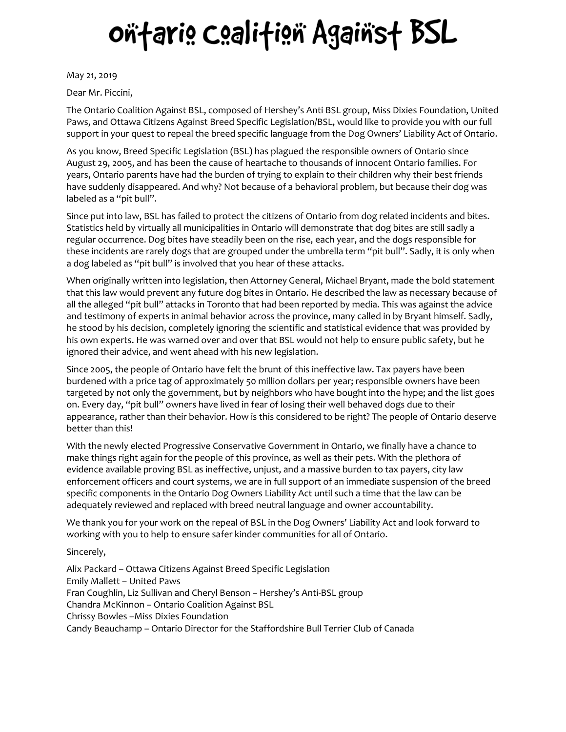## oñfaris Csalifisñ Agaiñsf BSL

May 21, 2019

Dear Mr. Piccini,

The Ontario Coalition Against BSL, composed of Hershey's Anti BSL group, Miss Dixies Foundation, United Paws, and Ottawa Citizens Against Breed Specific Legislation/BSL, would like to provide you with our full support in your quest to repeal the breed specific language from the Dog Owners' Liability Act of Ontario.

As you know, Breed Specific Legislation (BSL) has plagued the responsible owners of Ontario since August 29, 2005, and has been the cause of heartache to thousands of innocent Ontario families. For years, Ontario parents have had the burden of trying to explain to their children why their best friends have suddenly disappeared. And why? Not because of a behavioral problem, but because their dog was labeled as a "pit bull".

Since put into law, BSL has failed to protect the citizens of Ontario from dog related incidents and bites. Statistics held by virtually all municipalities in Ontario will demonstrate that dog bites are still sadly a regular occurrence. Dog bites have steadily been on the rise, each year, and the dogs responsible for these incidents are rarely dogs that are grouped under the umbrella term "pit bull". Sadly, it is only when a dog labeled as "pit bull" is involved that you hear of these attacks.

When originally written into legislation, then Attorney General, Michael Bryant, made the bold statement that this law would prevent any future dog bites in Ontario. He described the law as necessary because of all the alleged "pit bull" attacks in Toronto that had been reported by media. This was against the advice and testimony of experts in animal behavior across the province, many called in by Bryant himself. Sadly, he stood by his decision, completely ignoring the scientific and statistical evidence that was provided by his own experts. He was warned over and over that BSL would not help to ensure public safety, but he ignored their advice, and went ahead with his new legislation.

Since 2005, the people of Ontario have felt the brunt of this ineffective law. Tax payers have been burdened with a price tag of approximately 50 million dollars per year; responsible owners have been targeted by not only the government, but by neighbors who have bought into the hype; and the list goes on. Every day, "pit bull" owners have lived in fear of losing their well behaved dogs due to their appearance, rather than their behavior. How is this considered to be right? The people of Ontario deserve better than this!

With the newly elected Progressive Conservative Government in Ontario, we finally have a chance to make things right again for the people of this province, as well as their pets. With the plethora of evidence available proving BSL as ineffective, unjust, and a massive burden to tax payers, city law enforcement officers and court systems, we are in full support of an immediate suspension of the breed specific components in the Ontario Dog Owners Liability Act until such a time that the law can be adequately reviewed and replaced with breed neutral language and owner accountability.

We thank you for your work on the repeal of BSL in the Dog Owners' Liability Act and look forward to working with you to help to ensure safer kinder communities for all of Ontario.

Sincerely,

Alix Packard – Ottawa Citizens Against Breed Specific Legislation Emily Mallett – United Paws Fran Coughlin, Liz Sullivan and Cheryl Benson – Hershey's Anti-BSL group Chandra McKinnon – Ontario Coalition Against BSL Chrissy Bowles –Miss Dixies Foundation Candy Beauchamp – Ontario Director for the Staffordshire Bull Terrier Club of Canada